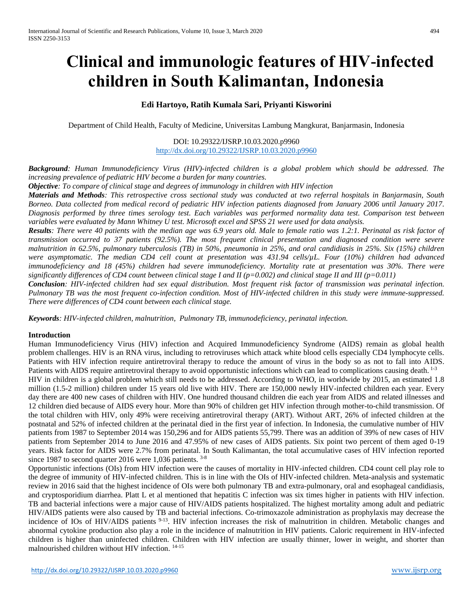# **Clinical and immunologic features of HIV-infected children in South Kalimantan, Indonesia**

### **Edi Hartoyo, Ratih Kumala Sari, Priyanti Kisworini**

Department of Child Health, Faculty of Medicine, Universitas Lambung Mangkurat, Banjarmasin, Indonesia

#### DOI: 10.29322/IJSRP.10.03.2020.p9960 <http://dx.doi.org/10.29322/IJSRP.10.03.2020.p9960>

*Background: Human Immunodeficiency Virus (HIV)-infected children is a global problem which should be addressed. The increasing prevalence of pediatric HIV become a burden for many countries.*

*Objective: To compare of clinical stage and degrees of immunology in children with HIV infection*

*Materials and Methods: This retrospective cross sectional study was conducted at two referral hospitals in Banjarmasin, South Borneo. Data collected from medical record of pediatric HIV infection patients diagnosed from January 2006 until January 2017. Diagnosis performed by three times serology test. Each variables was performed normality data test. Comparison test between variables were evaluated by Mann Whitney U test. Microsoft excel and SPSS 21 were used for data analysis.*

*Results: There were 40 patients with the median age was 6.9 years old. Male to female ratio was 1.2:1. Perinatal as risk factor of transmission occurred to 37 patients (92.5%). The most frequent clinical presentation and diagnosed condition were severe malnutrition in 62.5%, pulmonary tuberculosis (TB) in 50%, pneumonia in 25%, and oral candidiasis in 25%. Six (15%) children were asymptomatic. The median CD4 cell count at presentation was 431.94 cells/µL. Four (10%) children had advanced immunodeficiency and 18 (45%) children had severe immunodeficiency. Mortality rate at presentation was 30%. There were significantly differences of CD4 count between clinical stage I and II (p=0.002) and clinical stage II and III (p=0.011)*

*Conclusion: HIV-infected children had sex equal distribution. Most frequent risk factor of transmission was perinatal infection. Pulmonary TB was the most frequent co-infection condition. Most of HIV-infected children in this study were immune-suppressed. There were differences of CD4 count between each clinical stage.*

*Keywords: HIV-infected children, malnutrition, Pulmonary TB, immunodeficiency, perinatal infection.*

#### **Introduction**

Human Immunodeficiency Virus (HIV) infection and Acquired Immunodeficiency Syndrome (AIDS) remain as global health problem challenges. HIV is an RNA virus, including to retroviruses which attack white blood cells especially CD4 lymphocyte cells. Patients with HIV infection require antiretroviral therapy to reduce the amount of virus in the body so as not to fall into AIDS. Patients with AIDS require antiretroviral therapy to avoid opportunistic infections which can lead to complications causing death. <sup>1-3</sup> HIV in children is a global problem which still needs to be addressed. According to WHO, in worldwide by 2015, an estimated 1.8 million (1.5-2 million) children under 15 years old live with HIV. There are 150,000 newly HIV-infected children each year. Every day there are 400 new cases of children with HIV. One hundred thousand children die each year from AIDS and related illnesses and 12 children died because of AIDS every hour. More than 90% of children get HIV infection through mother-to-child transmission. Of the total children with HIV, only 49% were receiving antiretroviral therapy (ART). Without ART, 26% of infected children at the postnatal and 52% of infected children at the perinatal died in the first year of infection. In Indonesia, the cumulative number of HIV patients from 1987 to September 2014 was 150,296 and for AIDS patients 55,799. There was an addition of 39% of new cases of HIV patients from September 2014 to June 2016 and 47.95% of new cases of AIDS patients. Six point two percent of them aged 0-19 years. Risk factor for AIDS were 2.7% from perinatal. In South Kalimantan, the total accumulative cases of HIV infection reported since 1987 to second quarter 2016 were 1,036 patients. <sup>3-8</sup>

Opportunistic infections (OIs) from HIV infection were the causes of mortality in HIV-infected children. CD4 count cell play role to the degree of immunity of HIV-infected children. This is in line with the OIs of HIV-infected children. Meta-analysis and systematic review in 2016 said that the highest incidence of OIs were both pulmonary TB and extra-pulmonary, oral and esophageal candidiasis, and cryptosporidium diarrhea. Platt L et al mentioned that hepatitis C infection was six times higher in patients with HIV infection. TB and bacterial infections were a major cause of HIV/AIDS patients hospitalized. The highest mortality among adult and pediatric HIV/AIDS patients were also caused by TB and bacterial infections. Co-trimoxazole administration as prophylaxis may decrease the incidence of IOs of HIV/AIDS patients <sup>9-13</sup>. HIV infection increases the risk of malnutrition in children. Metabolic changes and abnormal cytokine production also play a role in the incidence of malnutrition in HIV patients. Caloric requirement in HIV-infected children is higher than uninfected children. Children with HIV infection are usually thinner, lower in weight, and shorter than malnourished children without HIV infection. 14-15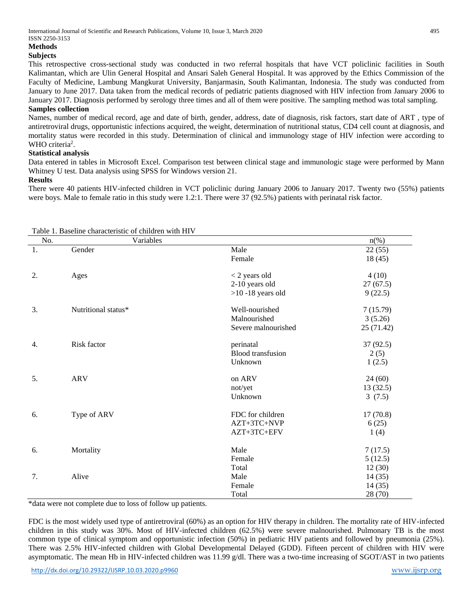## **Methods**

## **Subjects**

This retrospective cross-sectional study was conducted in two referral hospitals that have VCT policlinic facilities in South Kalimantan, which are Ulin General Hospital and Ansari Saleh General Hospital. It was approved by the Ethics Commission of the Faculty of Medicine, Lambung Mangkurat University, Banjarmasin, South Kalimantan, Indonesia. The study was conducted from January to June 2017. Data taken from the medical records of pediatric patients diagnosed with HIV infection from January 2006 to January 2017. Diagnosis performed by serology three times and all of them were positive. The sampling method was total sampling.

#### **Samples collection**

Names, number of medical record, age and date of birth, gender, address, date of diagnosis, risk factors, start date of ART , type of antiretroviral drugs, opportunistic infections acquired, the weight, determination of nutritional status, CD4 cell count at diagnosis, and mortality status were recorded in this study. Determination of clinical and immunology stage of HIV infection were according to WHO criteria<sup>2</sup>.

#### **Statistical analysis**

Data entered in tables in Microsoft Excel. Comparison test between clinical stage and immunologic stage were performed by Mann Whitney U test. Data analysis using SPSS for Windows version 21.

#### **Results**

There were 40 patients HIV-infected children in VCT policlinic during January 2006 to January 2017. Twenty two (55%) patients were boys. Male to female ratio in this study were 1.2:1. There were 37 (92.5%) patients with perinatal risk factor.

| No.              | I done 1. Daschine enaracteristic of chinuren while it is<br>Variables |                          | $n(\%)$    |
|------------------|------------------------------------------------------------------------|--------------------------|------------|
| 1.               | Gender                                                                 | Male                     | 22(55)     |
|                  |                                                                        | Female                   | 18(45)     |
| 2.               | Ages                                                                   | $<$ 2 years old          | 4(10)      |
|                  |                                                                        | 2-10 years old           | 27(67.5)   |
|                  |                                                                        | $>10$ -18 years old      | 9(22.5)    |
| 3.               | Nutritional status*                                                    | Well-nourished           | 7(15.79)   |
|                  |                                                                        | Malnourished             | 3(5.26)    |
|                  |                                                                        | Severe malnourished      | 25 (71.42) |
| $\overline{4}$ . | Risk factor                                                            | perinatal                | 37 (92.5)  |
|                  |                                                                        | <b>Blood</b> transfusion | 2(5)       |
|                  |                                                                        | Unknown                  | 1(2.5)     |
| 5.               | <b>ARV</b>                                                             | on ARV                   | 24(60)     |
|                  |                                                                        | not/yet                  | 13(32.5)   |
|                  |                                                                        | Unknown                  | 3(7.5)     |
| 6.               | Type of ARV                                                            | FDC for children         | 17(70.8)   |
|                  |                                                                        | AZT+3TC+NVP              | 6(25)      |
|                  |                                                                        | AZT+3TC+EFV              | 1(4)       |
| 6.               | Mortality                                                              | Male                     | 7(17.5)    |
|                  |                                                                        | Female                   | 5(12.5)    |
|                  |                                                                        | Total                    | 12(30)     |
| 7.               | Alive                                                                  | Male                     | 14(35)     |
|                  |                                                                        | Female                   | 14(35)     |
|                  |                                                                        | Total                    | 28 (70)    |

Table 1. Baseline characteristic of children with HIV

\*data were not complete due to loss of follow up patients.

FDC is the most widely used type of antiretroviral (60%) as an option for HIV therapy in children. The mortality rate of HIV-infected children in this study was 30%. Most of HIV-infected children (62.5%) were severe malnourished. Pulmonary TB is the most common type of clinical symptom and opportunistic infection (50%) in pediatric HIV patients and followed by pneumonia (25%). There was 2.5% HIV-infected children with Global Developmental Delayed (GDD). Fifteen percent of children with HIV were asymptomatic. The mean Hb in HIV-infected children was  $11.99$  g/dl. There was a two-time increasing of SGOT/AST in two patients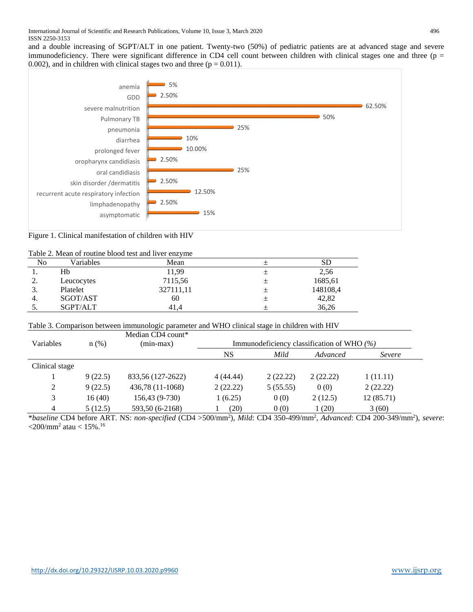and a double increasing of SGPT/ALT in one patient. Twenty-two (50%) of pediatric patients are at advanced stage and severe immunodeficiency. There were significant difference in CD4 cell count between children with clinical stages one and three ( $p =$ 0.002), and in children with clinical stages two and three  $(p = 0.011)$ .



Figure 1. Clinical manifestation of children with HIV

|--|

| No       | Variables  | Mean      |   | SD       |
|----------|------------|-----------|---|----------|
|          | Hb         | 11,99     |   | 2,56     |
| <u>.</u> | Leucocytes | 7115,56   | 士 | 1685,61  |
| J.       | Platelet   | 327111,11 | 土 | 148108,4 |
| 4.       | SGOT/AST   | 60        | 土 | 42,82    |
| J.       | SGPT/ALT   | 41.4      |   | 36.26    |

Table 3. Comparison between immunologic parameter and WHO clinical stage in children with HIV

| <b>Variables</b> | $n$ (%) | Median CD4 count*<br>$(min-max)$ | Immunodeficiency classification of WHO $(\%)$ |          |          |           |
|------------------|---------|----------------------------------|-----------------------------------------------|----------|----------|-----------|
|                  |         |                                  | NS                                            | Mild     | Advanced | Severe    |
| Clinical stage   |         |                                  |                                               |          |          |           |
|                  | 9(22.5) | 833,56 (127-2622)                | 4(44.44)                                      | 2(22.22) | 2(22.22) | 1(11.11)  |
| 2                | 9(22.5) | 436,78 (11-1068)                 | 2(22.22)                                      | 5(55.55) | 0(0)     | 2(22.22)  |
| 3                | 16(40)  | 156,43 (9-730)                   | 1(6.25)                                       | 0(0)     | 2(12.5)  | 12(85.71) |
| $\overline{4}$   | 5(12.5) | 593,50 (6-2168)                  | (20)                                          | 0(0)     | 1 (20)   | 3(60)     |

\**baseline* CD4 before ART. NS: *non-specified* (CD4 >500/mm<sup>2</sup> ), *Mild*: CD4 350-499/mm<sup>2</sup> , *Advanced*: CD4 200-349/mm<sup>2</sup> ), *severe*:  $\langle 200 \rangle$ mm<sup>2</sup> atau  $\langle 15\% \cdot 16 \rangle$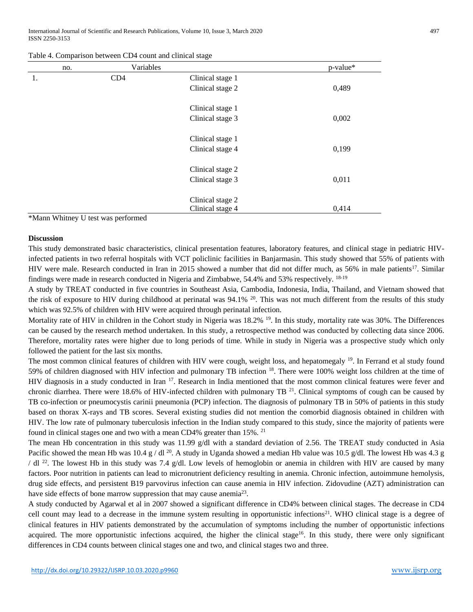International Journal of Scientific and Research Publications, Volume 10, Issue 3, March 2020 497 ISSN 2250-3153

|  |  | Table 4. Comparison between CD4 count and clinical stage |
|--|--|----------------------------------------------------------|
|--|--|----------------------------------------------------------|

| no. | Variables |                  | p-value* |
|-----|-----------|------------------|----------|
| 1.  | CD4       | Clinical stage 1 |          |
|     |           | Clinical stage 2 | 0,489    |
|     |           | Clinical stage 1 |          |
|     |           | Clinical stage 3 | 0,002    |
|     |           | Clinical stage 1 |          |
|     |           | Clinical stage 4 | 0,199    |
|     |           | Clinical stage 2 |          |
|     |           | Clinical stage 3 | 0,011    |
|     |           | Clinical stage 2 |          |
|     |           | Clinical stage 4 | 0,414    |

\*Mann Whitney U test was performed

#### **Discussion**

This study demonstrated basic characteristics, clinical presentation features, laboratory features, and clinical stage in pediatric HIVinfected patients in two referral hospitals with VCT policlinic facilities in Banjarmasin. This study showed that 55% of patients with HIV were male. Research conducted in Iran in 2015 showed a number that did not differ much, as 56% in male patients<sup>17</sup>. Similar findings were made in research conducted in Nigeria and Zimbabwe, 54.4% and 53% respectively. 18-19

A study by TREAT conducted in five countries in Southeast Asia, Cambodia, Indonesia, India, Thailand, and Vietnam showed that the risk of exposure to HIV during childhood at perinatal was 94.1% <sup>20</sup>. This was not much different from the results of this study which was 92.5% of children with HIV were acquired through perinatal infection.

Mortality rate of HIV in children in the Cohort study in Nigeria was 18.2% <sup>19</sup>. In this study, mortality rate was 30%. The Differences can be caused by the research method undertaken. In this study, a retrospective method was conducted by collecting data since 2006. Therefore, mortality rates were higher due to long periods of time. While in study in Nigeria was a prospective study which only followed the patient for the last six months.

The most common clinical features of children with HIV were cough, weight loss, and hepatomegaly <sup>19</sup>. In Ferrand et al study found 59% of children diagnosed with HIV infection and pulmonary TB infection <sup>18</sup>. There were 100% weight loss children at the time of HIV diagnosis in a study conducted in Iran <sup>17</sup>. Research in India mentioned that the most common clinical features were fever and chronic diarrhea. There were 18.6% of HIV-infected children with pulmonary TB  $^{21}$ . Clinical symptoms of cough can be caused by TB co-infection or pneumocystis carinii pneumonia (PCP) infection. The diagnosis of pulmonary TB in 50% of patients in this study based on thorax X-rays and TB scores. Several existing studies did not mention the comorbid diagnosis obtained in children with HIV. The low rate of pulmonary tuberculosis infection in the Indian study compared to this study, since the majority of patients were found in clinical stages one and two with a mean CD4% greater than  $15\%$ . <sup>21</sup>

The mean Hb concentration in this study was 11.99 g/dl with a standard deviation of 2.56. The TREAT study conducted in Asia Pacific showed the mean Hb was 10.4 g / dl <sup>20</sup>. A study in Uganda showed a median Hb value was 10.5 g/dl. The lowest Hb was 4.3 g / dl <sup>22</sup>. The lowest Hb in this study was 7.4 g/dl. Low levels of hemoglobin or anemia in children with HIV are caused by many factors. Poor nutrition in patients can lead to micronutrient deficiency resulting in anemia. Chronic infection, autoimmune hemolysis, drug side effects, and persistent B19 parvovirus infection can cause anemia in HIV infection. Zidovudine (AZT) administration can have side effects of bone marrow suppression that may cause anemia<sup>23</sup>.

A study conducted by Agarwal et al in 2007 showed a significant difference in CD4% between clinical stages. The decrease in CD4 cell count may lead to a decrease in the immune system resulting in opportunistic infections<sup>21</sup>. WHO clinical stage is a degree of clinical features in HIV patients demonstrated by the accumulation of symptoms including the number of opportunistic infections acquired. The more opportunistic infections acquired, the higher the clinical stage<sup>16</sup>. In this study, there were only significant differences in CD4 counts between clinical stages one and two, and clinical stages two and three.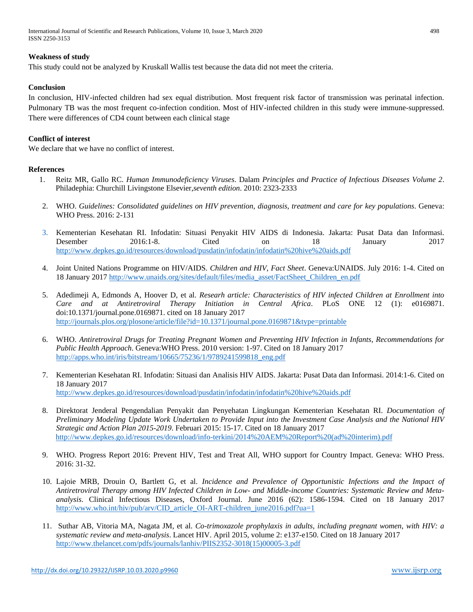International Journal of Scientific and Research Publications, Volume 10, Issue 3, March 2020 498 ISSN 2250-3153

#### **Weakness of study**

This study could not be analyzed by Kruskall Wallis test because the data did not meet the criteria.

#### **Conclusion**

In conclusion, HIV-infected children had sex equal distribution. Most frequent risk factor of transmission was perinatal infection. Pulmonary TB was the most frequent co-infection condition. Most of HIV-infected children in this study were immune-suppressed. There were differences of CD4 count between each clinical stage

#### **Conflict of interest**

We declare that we have no conflict of interest.

#### **References**

- 1. Reitz MR, Gallo RC. *Human Immunodeficiency Viruses*. Dalam *Principles and Practice of Infectious Diseases Volume 2*. Philadephia: Churchill Livingstone Elsevier,*seventh edition*. 2010: 2323-2333
- 2. WHO. *Guidelines: Consolidated guidelines on HIV prevention, diagnosis, treatment and care for key populations*. Geneva: WHO Press. 2016: 2-131
- 3. Kementerian Kesehatan RI. Infodatin: Situasi Penyakit HIV AIDS di Indonesia. Jakarta: Pusat Data dan Informasi. Desember 2016:1-8. Cited on 18 January 2017 <http://www.depkes.go.id/resources/download/pusdatin/infodatin/infodatin%20hive%20aids.pdf>
- 4. Joint United Nations Programme on HIV/AIDS*. Children and HIV, Fact Sheet*. Geneva:UNAIDS. July 2016: 1-4. Cited on 18 January 2017 [http://www.unaids.org/sites/default/files/media\\_asset/FactSheet\\_Children\\_en.pdf](http://www.unaids.org/sites/default/files/media_asset/FactSheet_Children_en.pdf)
- 5. Adedimeji A, Edmonds A, Hoover D, et al. *Researh article: Characteristics of HIV infected Children at Enrollment into Care and at Antiretroviral Therapy Initiation in Central Africa*. PLoS ONE 12 (1): e0169871. doi:10.1371/journal.pone.0169871. cited on 18 January 2017 <http://journals.plos.org/plosone/article/file?id=10.1371/journal.pone.0169871&type=printable>
- 6. WHO. *Antiretroviral Drugs for Treating Pregnant Women and Preventing HIV Infection in Infants, Recommendations for Public Health Approach*. Geneva:WHO Press. 2010 version: 1-97. Cited on 18 January 2017 [http://apps.who.int/iris/bitstream/10665/75236/1/9789241599818\\_eng.pdf](http://apps.who.int/iris/bitstream/10665/75236/1/9789241599818_eng.pdf)
- 7. Kementerian Kesehatan RI. Infodatin: Situasi dan Analisis HIV AIDS. Jakarta: Pusat Data dan Informasi. 2014:1-6. Cited on 18 January 2017 <http://www.depkes.go.id/resources/download/pusdatin/infodatin/infodatin%20hive%20aids.pdf>
- 8. Direktorat Jenderal Pengendalian Penyakit dan Penyehatan Lingkungan Kementerian Kesehatan RI. *Documentation of Preliminary Modeling Update Work Undertaken to Provide Input into the Investment Case Analysis and the National HIV Strategic and Action Plan 2015-2019*. Februari 2015: 15-17. Cited on 18 January 2017 [http://www.depkes.go.id/resources/download/info-terkini/2014%20AEM%20Report%20\(ad%20interim\).pdf](http://www.depkes.go.id/resources/download/info-terkini/2014%20AEM%20Report%20(ad%20interim).pdf)
- 9. WHO. Progress Report 2016: Prevent HIV, Test and Treat All, WHO support for Country Impact. Geneva: WHO Press. 2016: 31-32.
- 10. Lajoie MRB, Drouin O, Bartlett G, et al. *Incidence and Prevalence of Opportunistic Infections and the Impact of Antiretroviral Therapy among HIV Infected Children in Low- and Middle-income Countries: Systematic Review and Metaanalysis*. Clinical Infectious Diseases, Oxford Journal. June 2016 (62): 1586-1594. Cited on 18 January 2017 http://www.who.int/hiv/pub/arv/CID article OI-ART-children june2016.pdf?ua=1
- 11. Suthar AB, Vitoria MA, Nagata JM, et al. *Co-trimoxazole prophylaxis in adults, including pregnant women, with HIV: a systematic review and meta-analysis*. Lancet HIV. April 2015, volume 2: e137-e150. Cited on 18 January 2017 [http://www.thelancet.com/pdfs/journals/lanhiv/PIIS2352-3018\(15\)00005-3.pdf](http://www.thelancet.com/pdfs/journals/lanhiv/PIIS2352-3018(15)00005-3.pdf)